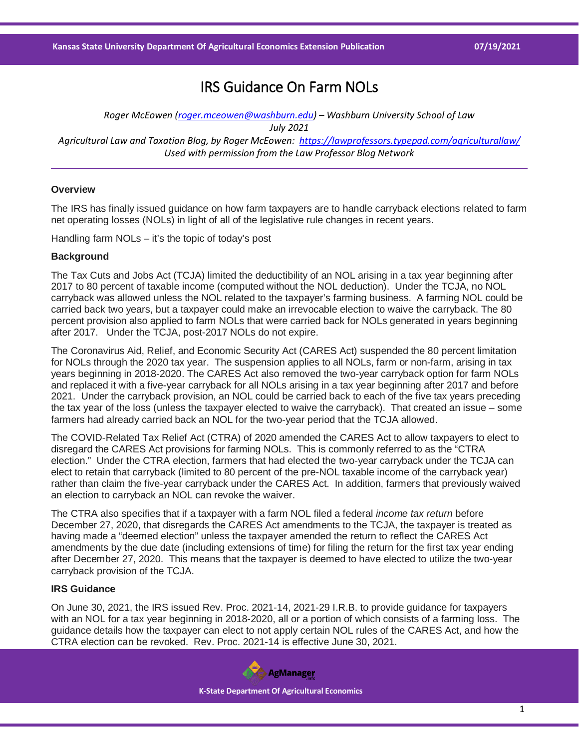# IRS Guidance On Farm NOLs

*Roger McEowen [\(roger.mceowen@washburn.edu\)](mailto:roger.mceowen@washburn.edu) – Washburn University School of Law July 2021 Agricultural Law and Taxation Blog, by Roger McEowen:<https://lawprofessors.typepad.com/agriculturallaw/> Used with permission from the Law Professor Blog Network*

## **Overview**

The IRS has finally issued guidance on how farm taxpayers are to handle carryback elections related to farm net operating losses (NOLs) in light of all of the legislative rule changes in recent years.

Handling farm NOLs – it's the topic of today's post

#### **Background**

The Tax Cuts and Jobs Act (TCJA) limited the deductibility of an NOL arising in a tax year beginning after 2017 to 80 percent of taxable income (computed without the NOL deduction). Under the TCJA, no NOL carryback was allowed unless the NOL related to the taxpayer's farming business. A farming NOL could be carried back two years, but a taxpayer could make an irrevocable election to waive the carryback. The 80 percent provision also applied to farm NOLs that were carried back for NOLs generated in years beginning after 2017. Under the TCJA, post-2017 NOLs do not expire.

The Coronavirus Aid, Relief, and Economic Security Act (CARES Act) suspended the 80 percent limitation for NOLs through the 2020 tax year. The suspension applies to all NOLs, farm or non-farm, arising in tax years beginning in 2018-2020. The CARES Act also removed the two-year carryback option for farm NOLs and replaced it with a five-year carryback for all NOLs arising in a tax year beginning after 2017 and before 2021. Under the carryback provision, an NOL could be carried back to each of the five tax years preceding the tax year of the loss (unless the taxpayer elected to waive the carryback). That created an issue – some farmers had already carried back an NOL for the two-year period that the TCJA allowed.

The COVID-Related Tax Relief Act (CTRA) of 2020 amended the CARES Act to allow taxpayers to elect to disregard the CARES Act provisions for farming NOLs. This is commonly referred to as the "CTRA election." Under the CTRA election, farmers that had elected the two-year carryback under the TCJA can elect to retain that carryback (limited to 80 percent of the pre-NOL taxable income of the carryback year) rather than claim the five-year carryback under the CARES Act. In addition, farmers that previously waived an election to carryback an NOL can revoke the waiver.

The CTRA also specifies that if a taxpayer with a farm NOL filed a federal *income tax return* before December 27, 2020, that disregards the CARES Act amendments to the TCJA, the taxpayer is treated as having made a "deemed election" unless the taxpayer amended the return to reflect the CARES Act amendments by the due date (including extensions of time) for filing the return for the first tax year ending after December 27, 2020. This means that the taxpayer is deemed to have elected to utilize the two-year carryback provision of the TCJA.

### **IRS Guidance**

On June 30, 2021, the IRS issued Rev. Proc. 2021-14, 2021-29 I.R.B. to provide guidance for taxpayers with an NOL for a tax year beginning in 2018-2020, all or a portion of which consists of a farming loss. The guidance details how the taxpayer can elect to not apply certain NOL rules of the CARES Act, and how the CTRA election can be revoked. Rev. Proc. 2021-14 is effective June 30, 2021.

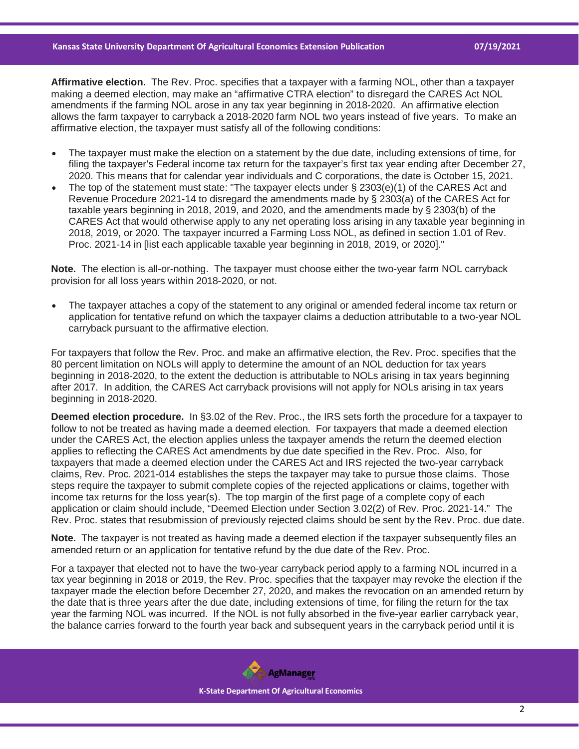**Affirmative election.** The Rev. Proc. specifies that a taxpayer with a farming NOL, other than a taxpayer making a deemed election, may make an "affirmative CTRA election" to disregard the CARES Act NOL amendments if the farming NOL arose in any tax year beginning in 2018-2020. An affirmative election allows the farm taxpayer to carryback a 2018-2020 farm NOL two years instead of five years. To make an affirmative election, the taxpayer must satisfy all of the following conditions:

- The taxpayer must make the election on a statement by the due date, including extensions of time, for filing the taxpayer's Federal income tax return for the taxpayer's first tax year ending after December 27, 2020. This means that for calendar year individuals and C corporations, the date is October 15, 2021.
- The top of the statement must state: "The taxpayer elects under  $\S$  2303(e)(1) of the CARES Act and Revenue Procedure 2021-14 to disregard the amendments made by § 2303(a) of the CARES Act for taxable years beginning in 2018, 2019, and 2020, and the amendments made by § 2303(b) of the CARES Act that would otherwise apply to any net operating loss arising in any taxable year beginning in 2018, 2019, or 2020. The taxpayer incurred a Farming Loss NOL, as defined in section 1.01 of Rev. Proc. 2021-14 in [list each applicable taxable year beginning in 2018, 2019, or 2020]."

**Note.** The election is all-or-nothing. The taxpayer must choose either the two-year farm NOL carryback provision for all loss years within 2018-2020, or not.

• The taxpayer attaches a copy of the statement to any original or amended federal income tax return or application for tentative refund on which the taxpayer claims a deduction attributable to a two-year NOL carryback pursuant to the affirmative election.

For taxpayers that follow the Rev. Proc. and make an affirmative election, the Rev. Proc. specifies that the 80 percent limitation on NOLs will apply to determine the amount of an NOL deduction for tax years beginning in 2018-2020, to the extent the deduction is attributable to NOLs arising in tax years beginning after 2017. In addition, the CARES Act carryback provisions will not apply for NOLs arising in tax years beginning in 2018-2020.

**Deemed election procedure.** In §3.02 of the Rev. Proc., the IRS sets forth the procedure for a taxpayer to follow to not be treated as having made a deemed election. For taxpayers that made a deemed election under the CARES Act, the election applies unless the taxpayer amends the return the deemed election applies to reflecting the CARES Act amendments by due date specified in the Rev. Proc. Also, for taxpayers that made a deemed election under the CARES Act and IRS rejected the two-year carryback claims, Rev. Proc. 2021-014 establishes the steps the taxpayer may take to pursue those claims. Those steps require the taxpayer to submit complete copies of the rejected applications or claims, together with income tax returns for the loss year(s). The top margin of the first page of a complete copy of each application or claim should include, "Deemed Election under Section 3.02(2) of Rev. Proc. 2021-14." The Rev. Proc. states that resubmission of previously rejected claims should be sent by the Rev. Proc. due date.

**Note.** The taxpayer is not treated as having made a deemed election if the taxpayer subsequently files an amended return or an application for tentative refund by the due date of the Rev. Proc.

For a taxpayer that elected not to have the two-year carryback period apply to a farming NOL incurred in a tax year beginning in 2018 or 2019, the Rev. Proc. specifies that the taxpayer may revoke the election if the taxpayer made the election before December 27, 2020, and makes the revocation on an amended return by the date that is three years after the due date, including extensions of time, for filing the return for the tax year the farming NOL was incurred. If the NOL is not fully absorbed in the five-year earlier carryback year, the balance carries forward to the fourth year back and subsequent years in the carryback period until it is